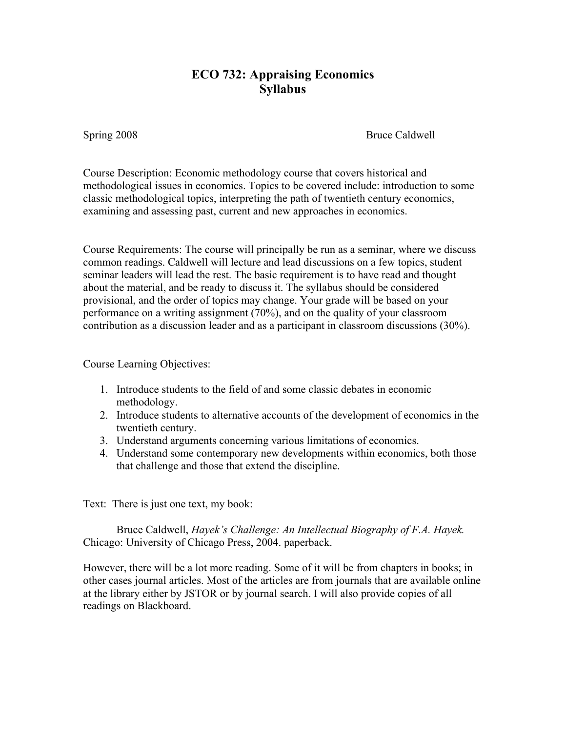## **ECO 732: Appraising Economics Syllabus**

Spring 2008 Bruce Caldwell

Course Description: Economic methodology course that covers historical and methodological issues in economics. Topics to be covered include: introduction to some classic methodological topics, interpreting the path of twentieth century economics, examining and assessing past, current and new approaches in economics.

Course Requirements: The course will principally be run as a seminar, where we discuss common readings. Caldwell will lecture and lead discussions on a few topics, student seminar leaders will lead the rest. The basic requirement is to have read and thought about the material, and be ready to discuss it. The syllabus should be considered provisional, and the order of topics may change. Your grade will be based on your performance on a writing assignment (70%), and on the quality of your classroom contribution as a discussion leader and as a participant in classroom discussions (30%).

Course Learning Objectives:

- 1. Introduce students to the field of and some classic debates in economic methodology.
- 2. Introduce students to alternative accounts of the development of economics in the twentieth century.
- 3. Understand arguments concerning various limitations of economics.
- 4. Understand some contemporary new developments within economics, both those that challenge and those that extend the discipline.

Text: There is just one text, my book:

Bruce Caldwell, *Hayek's Challenge: An Intellectual Biography of F.A. Hayek.*  Chicago: University of Chicago Press, 2004. paperback.

However, there will be a lot more reading. Some of it will be from chapters in books; in other cases journal articles. Most of the articles are from journals that are available online at the library either by JSTOR or by journal search. I will also provide copies of all readings on Blackboard.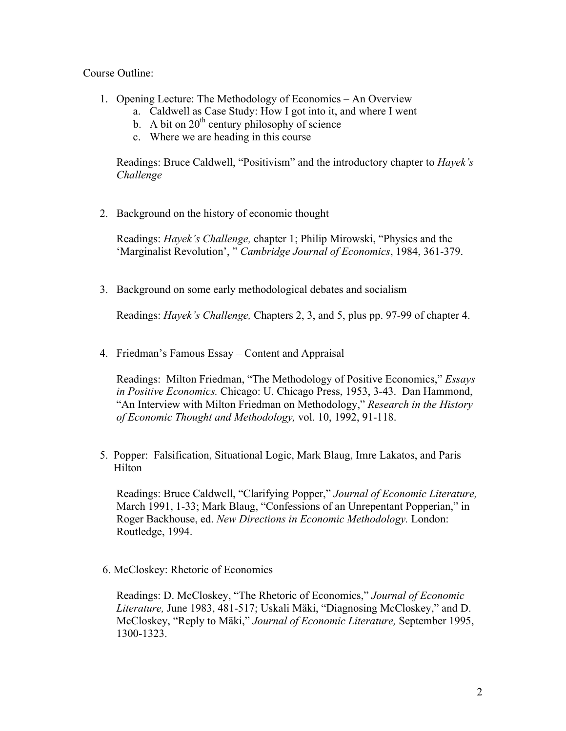Course Outline:

- 1. Opening Lecture: The Methodology of Economics An Overview
	- a. Caldwell as Case Study: How I got into it, and where I went
	- b. A bit on  $20<sup>th</sup>$  century philosophy of science
	- c. Where we are heading in this course

Readings: Bruce Caldwell, "Positivism" and the introductory chapter to *Hayek's Challenge*

2. Background on the history of economic thought

Readings: *Hayek's Challenge,* chapter 1; Philip Mirowski, "Physics and the 'Marginalist Revolution', " *Cambridge Journal of Economics*, 1984, 361-379.

3. Background on some early methodological debates and socialism

Readings: *Hayek's Challenge,* Chapters 2, 3, and 5, plus pp. 97-99 of chapter 4.

4. Friedman's Famous Essay – Content and Appraisal

Readings: Milton Friedman, "The Methodology of Positive Economics," *Essays in Positive Economics.* Chicago: U. Chicago Press, 1953, 3-43. Dan Hammond, "An Interview with Milton Friedman on Methodology," *Research in the History of Economic Thought and Methodology,* vol. 10, 1992, 91-118.

 5. Popper: Falsification, Situational Logic, Mark Blaug, Imre Lakatos, and Paris Hilton

Readings: Bruce Caldwell, "Clarifying Popper," *Journal of Economic Literature,* March 1991, 1-33; Mark Blaug, "Confessions of an Unrepentant Popperian," in Roger Backhouse, ed. *New Directions in Economic Methodology.* London: Routledge, 1994.

6. McCloskey: Rhetoric of Economics

Readings: D. McCloskey, "The Rhetoric of Economics," *Journal of Economic Literature,* June 1983, 481-517; Uskali Mäki, "Diagnosing McCloskey," and D. McCloskey, "Reply to Mäki," *Journal of Economic Literature,* September 1995, 1300-1323.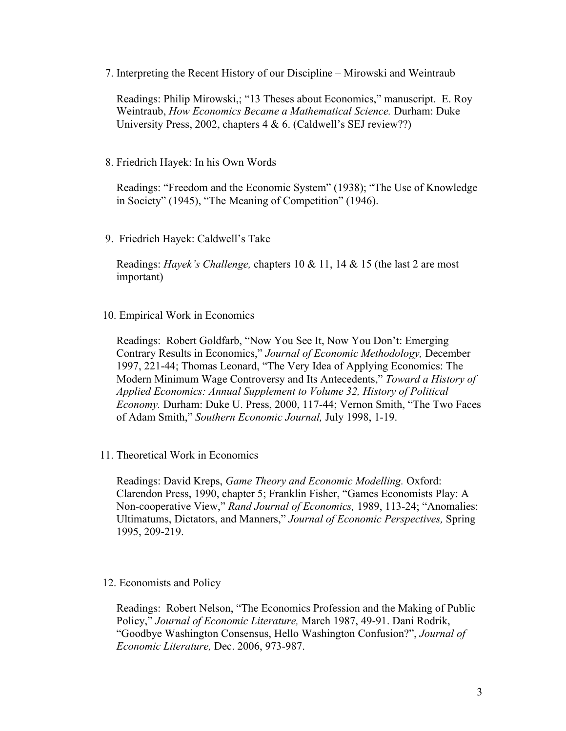7. Interpreting the Recent History of our Discipline – Mirowski and Weintraub

Readings: Philip Mirowski,; "13 Theses about Economics," manuscript. E. Roy Weintraub, *How Economics Became a Mathematical Science.* Durham: Duke University Press, 2002, chapters 4 & 6. (Caldwell's SEJ review??)

## 8. Friedrich Hayek: In his Own Words

Readings: "Freedom and the Economic System" (1938); "The Use of Knowledge in Society" (1945), "The Meaning of Competition" (1946).

9. Friedrich Hayek: Caldwell's Take

Readings: *Hayek's Challenge,* chapters 10 & 11, 14 & 15 (the last 2 are most important)

## 10. Empirical Work in Economics

Readings: Robert Goldfarb, "Now You See It, Now You Don't: Emerging Contrary Results in Economics," *Journal of Economic Methodology,* December 1997, 221-44; Thomas Leonard, "The Very Idea of Applying Economics: The Modern Minimum Wage Controversy and Its Antecedents," *Toward a History of Applied Economics: Annual Supplement to Volume 32, History of Political Economy.* Durham: Duke U. Press, 2000, 117-44; Vernon Smith, "The Two Faces of Adam Smith," *Southern Economic Journal,* July 1998, 1-19.

11. Theoretical Work in Economics

Readings: David Kreps, *Game Theory and Economic Modelling.* Oxford: Clarendon Press, 1990, chapter 5; Franklin Fisher, "Games Economists Play: A Non-cooperative View," *Rand Journal of Economics,* 1989, 113-24; "Anomalies: Ultimatums, Dictators, and Manners," *Journal of Economic Perspectives,* Spring 1995, 209-219.

12. Economists and Policy

Readings: Robert Nelson, "The Economics Profession and the Making of Public Policy," *Journal of Economic Literature,* March 1987, 49-91. Dani Rodrik, "Goodbye Washington Consensus, Hello Washington Confusion?", *Journal of Economic Literature,* Dec. 2006, 973-987.